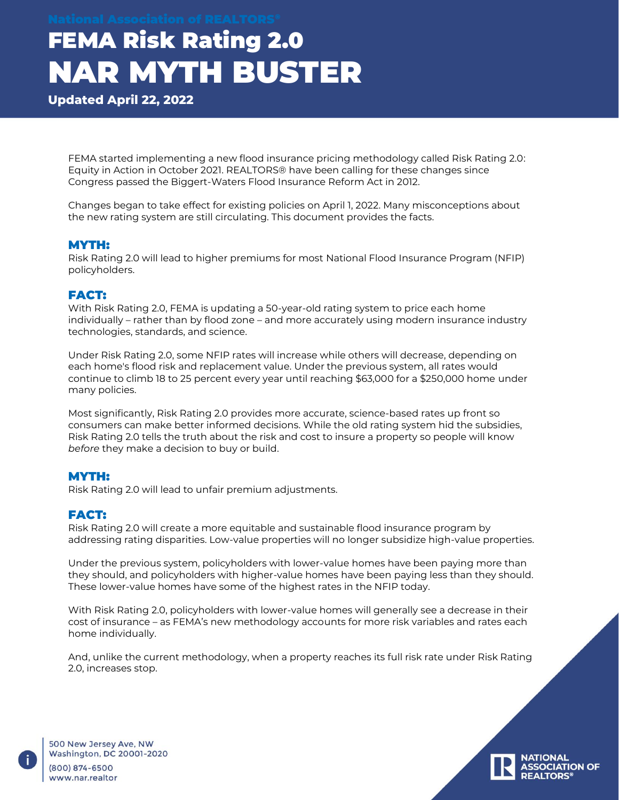**Updated April 22, 2022**

FEMA started implementing a new flood insurance pricing methodology called Risk Rating 2.0: Equity in Action in October 2021. REALTORS® have been calling for these changes since Congress passed the Biggert-Waters Flood Insurance Reform Act in 2012.

Changes began to take effect for existing policies on April 1, 2022. Many misconceptions about the new rating system are still circulating. This document provides the facts.

#### MYTH:

Risk Rating 2.0 will lead to higher premiums for most National Flood Insurance Program (NFIP) policyholders.

## FACT:

With Risk Rating 2.0, FEMA is updating a 50-year-old rating system to price each home individually – rather than by flood zone – and more accurately using modern insurance industry technologies, standards, and science.

Under Risk Rating 2.0, some NFIP rates will increase while others will decrease, depending on each home's flood risk and replacement value. Under the previous system, all rates would continue to climb 18 to 25 percent every year until reaching \$63,000 for a \$250,000 home under many policies.

Most significantly, Risk Rating 2.0 provides more accurate, science-based rates up front so consumers can make better informed decisions. While the old rating system hid the subsidies, Risk Rating 2.0 tells the truth about the risk and cost to insure a property so people will know *before* they make a decision to buy or build.

### MYTH:

Risk Rating 2.0 will lead to unfair premium adjustments.

### FACT:

Risk Rating 2.0 will create a more equitable and sustainable flood insurance program by addressing rating disparities. Low-value properties will no longer subsidize high-value properties.

Under the previous system, policyholders with lower-value homes have been paying more than they should, and policyholders with higher-value homes have been paying less than they should. These lower-value homes have some of the highest rates in the NFIP today.

With Risk Rating 2.0, policyholders with lower-value homes will generally see a decrease in their cost of insurance – as FEMA's new methodology accounts for more risk variables and rates each home individually.

And, unlike the current methodology, when a property reaches its full risk rate under Risk Rating 2.0, increases stop.



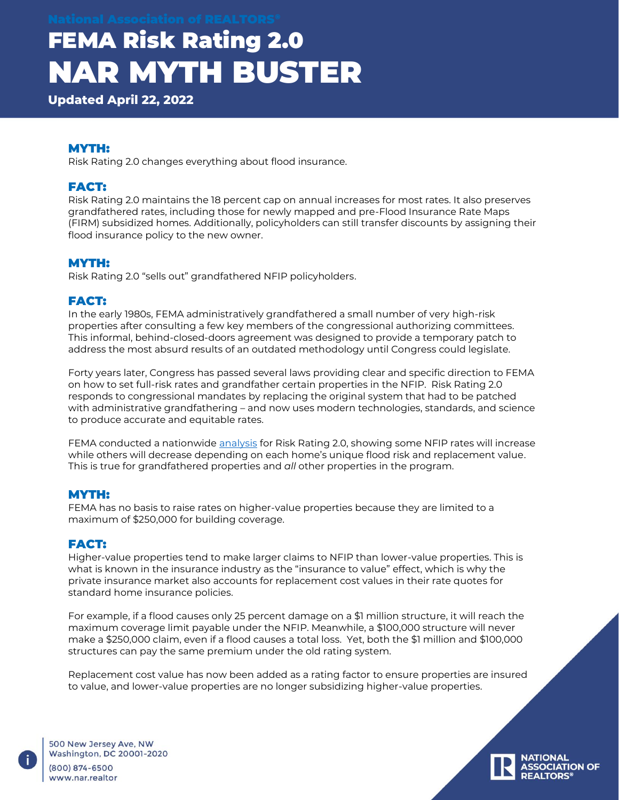**Updated April 22, 2022**

## MYTH:

Risk Rating 2.0 changes everything about flood insurance.

## FACT:

Risk Rating 2.0 maintains the 18 percent cap on annual increases for most rates. It also preserves grandfathered rates, including those for newly mapped and pre-Flood Insurance Rate Maps (FIRM) subsidized homes. Additionally, policyholders can still transfer discounts by assigning their flood insurance policy to the new owner.

### MYTH:

Risk Rating 2.0 "sells out" grandfathered NFIP policyholders.

## FACT:

In the early 1980s, FEMA administratively grandfathered a small number of very high-risk properties after consulting a few key members of the congressional authorizing committees. This informal, behind-closed-doors agreement was designed to provide a temporary patch to address the most absurd results of an outdated methodology until Congress could legislate.

Forty years later, Congress has passed several laws providing clear and specific direction to FEMA on how to set full-risk rates and grandfather certain properties in the NFIP. Risk Rating 2.0 responds to congressional mandates by replacing the original system that had to be patched with administrative grandfathering – and now uses modern technologies, standards, and science to produce accurate and equitable rates.

FEMA conducted a nationwide [analysis](https://www.fema.gov/flood-insurance/risk-rating) for Risk Rating 2.0, showing some NFIP rates will increase while others will decrease depending on each home's unique flood risk and replacement value. This is true for grandfathered properties and *all* other properties in the program.

### MYTH:

FEMA has no basis to raise rates on higher-value properties because they are limited to a maximum of \$250,000 for building coverage.

### FACT:

Higher-value properties tend to make larger claims to NFIP than lower-value properties. This is what is known in the insurance industry as the "insurance to value" effect, which is why the private insurance market also accounts for replacement cost values in their rate quotes for standard home insurance policies.

For example, if a flood causes only 25 percent damage on a \$1 million structure, it will reach the maximum coverage limit payable under the NFIP. Meanwhile, a \$100,000 structure will never make a \$250,000 claim, even if a flood causes a total loss. Yet, both the \$1 million and \$100,000 structures can pay the same premium under the old rating system.

Replacement cost value has now been added as a rating factor to ensure properties are insured to value, and lower-value properties are no longer subsidizing higher-value properties.

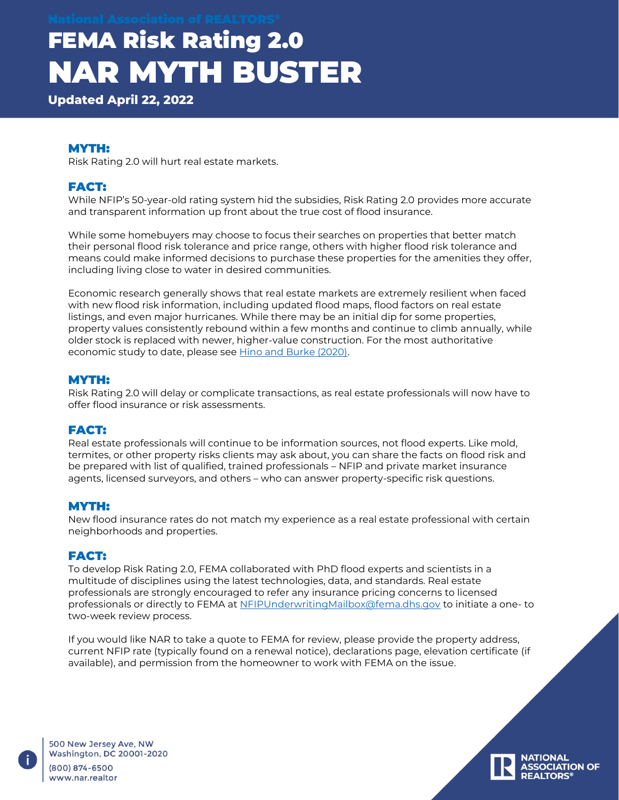**Updated April 22, 2022**

### MYTH:

Risk Rating 2.0 will hurt real estate markets.

## FACT:

While NFIP's 50-year-old rating system hid the subsidies, Risk Rating 2.0 provides more accurate and transparent information up front about the true cost of flood insurance.

While some homebuyers may choose to focus their searches on properties that better match their personal flood risk tolerance and price range, others with higher flood risk tolerance and means could make informed decisions to purchase these properties for the amenities they offer, including living close to water in desired communities.

Economic research generally shows that real estate markets are extremely resilient when faced with new flood risk information, including updated flood maps, flood factors on real estate listings, and even major hurricanes. While there may be an initial dip for some properties, property values consistently rebound within a few months and continue to climb annually, while older stock is replaced with newer, higher-value construction. For the most authoritative economic study to date, please see [Hino and Burke \(2020\).](https://narfocus.com/billdatabase/clientfiles/172/21/4504.pdf)

### MYTH:

Risk Rating 2.0 will delay or complicate transactions, as real estate professionals will now have to offer flood insurance or risk assessments.

### FACT:

Real estate professionals will continue to be information sources, not flood experts. Like mold, termites, or other property risks clients may ask about, you can share the facts on flood risk and be prepared with list of qualified, trained professionals – NFIP and private market insurance agents, licensed surveyors, and others – who can answer property-specific risk questions.

#### MYTH:

New flood insurance rates do not match my experience as a real estate professional with certain neighborhoods and properties.

### FACT:

To develop Risk Rating 2.0, FEMA collaborated with PhD flood experts and scientists in a multitude of disciplines using the latest technologies, data, and standards. Real estate professionals are strongly encouraged to refer any insurance pricing concerns to licensed professionals or directly to FEMA at [NFIPUnderwritingMailbox@fema.dhs.gov](mailto:NFIPUnderwritingMailbox@fema.dhs.gov) to initiate a one- to two-week review process.

If you would like NAR to take a quote to FEMA for review, please provide the property address, current NFIP rate (typically found on a renewal notice), declarations page, elevation certificate (if available), and permission from the homeowner to work with FEMA on the issue.

**ASSOCIATION OF** 

500 New Jersey Ave, NW Washington, DC 20001-2020  $(800) 874 - 6500$ www.nar.realtor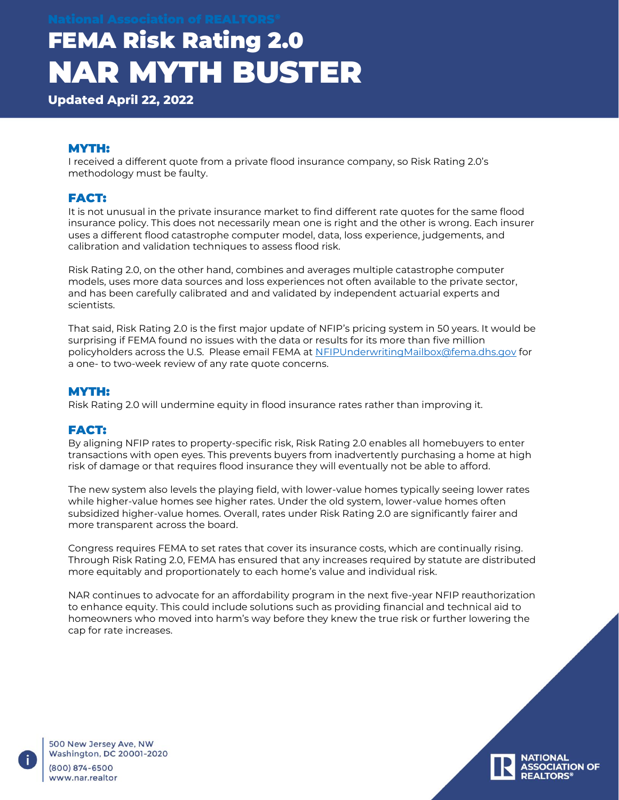**Updated April 22, 2022**

## MYTH:

I received a different quote from a private flood insurance company, so Risk Rating 2.0's methodology must be faulty.

## FACT:

It is not unusual in the private insurance market to find different rate quotes for the same flood insurance policy. This does not necessarily mean one is right and the other is wrong. Each insurer uses a different flood catastrophe computer model, data, loss experience, judgements, and calibration and validation techniques to assess flood risk.

Risk Rating 2.0, on the other hand, combines and averages multiple catastrophe computer models, uses more data sources and loss experiences not often available to the private sector, and has been carefully calibrated and and validated by independent actuarial experts and scientists.

That said, Risk Rating 2.0 is the first major update of NFIP's pricing system in 50 years. It would be surprising if FEMA found no issues with the data or results for its more than five million policyholders across the U.S. Please email FEMA at [NFIPUnderwritingMailbox@fema.dhs.gov](mailto:NFIPUnderwritingMailbox@fema.dhs.gov) for a one- to two-week review of any rate quote concerns.

#### MYTH:

Risk Rating 2.0 will undermine equity in flood insurance rates rather than improving it.

## FACT:

By aligning NFIP rates to property-specific risk, Risk Rating 2.0 enables all homebuyers to enter transactions with open eyes. This prevents buyers from inadvertently purchasing a home at high risk of damage or that requires flood insurance they will eventually not be able to afford.

The new system also levels the playing field, with lower-value homes typically seeing lower rates while higher-value homes see higher rates. Under the old system, lower-value homes often subsidized higher-value homes. Overall, rates under Risk Rating 2.0 are significantly fairer and more transparent across the board.

Congress requires FEMA to set rates that cover its insurance costs, which are continually rising. Through Risk Rating 2.0, FEMA has ensured that any increases required by statute are distributed more equitably and proportionately to each home's value and individual risk.

NAR continues to advocate for an affordability program in the next five-year NFIP reauthorization to enhance equity. This could include solutions such as providing financial and technical aid to homeowners who moved into harm's way before they knew the true risk or further lowering the cap for rate increases.

**ASSOCIATION OF** 

500 New Jersey Ave, NW Washington, DC 20001-2020  $(800) 874 - 6500$ www.nar.realtor